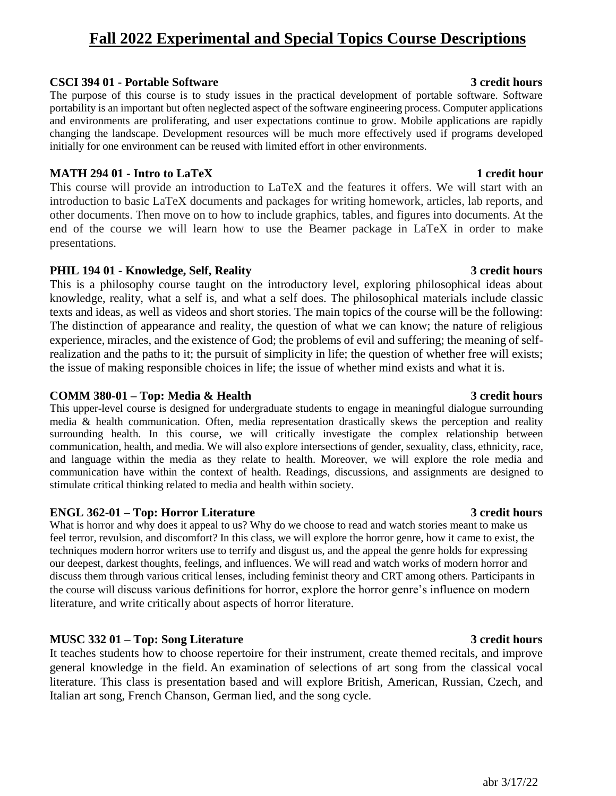# **Fall 2022 Experimental and Special Topics Course Descriptions**

#### **CSCI 394 01 - Portable Software 3 credit hours**

The purpose of this course is to study issues in the practical development of portable software. Software portability is an important but often neglected aspect of the software engineering process. Computer applications and environments are proliferating, and user expectations continue to grow. Mobile applications are rapidly changing the landscape. Development resources will be much more effectively used if programs developed initially for one environment can be reused with limited effort in other environments.

### **MATH 294 01 - Intro to LaTeX 1 credit hour**

This course will provide an introduction to LaTeX and the features it offers. We will start with an introduction to basic LaTeX documents and packages for writing homework, articles, lab reports, and other documents. Then move on to how to include graphics, tables, and figures into documents. At the end of the course we will learn how to use the Beamer package in LaTeX in order to make presentations.

### **PHIL 194 01 - Knowledge, Self, Reality 3 credit hours**

This is a philosophy course taught on the introductory level, exploring philosophical ideas about knowledge, reality, what a self is, and what a self does. The philosophical materials include classic texts and ideas, as well as videos and short stories. The main topics of the course will be the following: The distinction of appearance and reality, the question of what we can know; the nature of religious experience, miracles, and the existence of God; the problems of evil and suffering; the meaning of selfrealization and the paths to it; the pursuit of simplicity in life; the question of whether free will exists; the issue of making responsible choices in life; the issue of whether mind exists and what it is.

#### **COMM 380-01 – Top: Media & Health 3 credit hours**

This upper-level course is designed for undergraduate students to engage in meaningful dialogue surrounding media & health communication. Often, media representation drastically skews the perception and reality surrounding health. In this course, we will critically investigate the complex relationship between communication, health, and media. We will also explore intersections of gender, sexuality, class, ethnicity, race, and language within the media as they relate to health. Moreover, we will explore the role media and communication have within the context of health. Readings, discussions, and assignments are designed to stimulate critical thinking related to media and health within society.

### **ENGL 362-01 – Top: Horror Literature 3 credit hours**

What is horror and why does it appeal to us? Why do we choose to read and watch stories meant to make us feel terror, revulsion, and discomfort? In this class, we will explore the horror genre, how it came to exist, the techniques modern horror writers use to terrify and disgust us, and the appeal the genre holds for expressing our deepest, darkest thoughts, feelings, and influences. We will read and watch works of modern horror and discuss them through various critical lenses, including feminist theory and CRT among others. Participants in the course will discuss various definitions for horror, explore the horror genre's influence on modern literature, and write critically about aspects of horror literature.

### **MUSC 332 01 – Top: Song Literature 3 credit hours**

It teaches students how to choose repertoire for their instrument, create themed recitals, and improve general knowledge in the field. An examination of selections of art song from the classical vocal literature. This class is presentation based and will explore British, American, Russian, Czech, and Italian art song, French Chanson, German lied, and the song cycle.

## abr 3/17/22